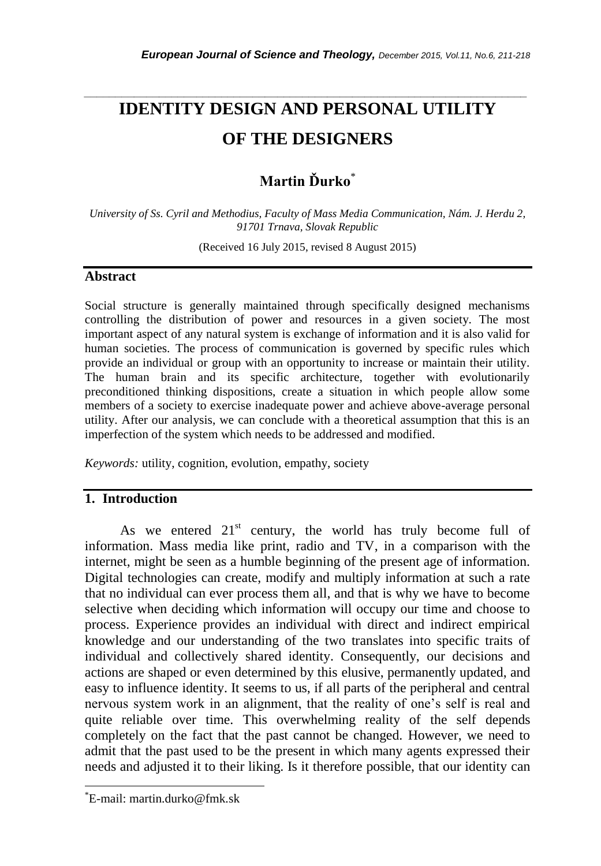# *\_\_\_\_\_\_\_\_\_\_\_\_\_\_\_\_\_\_\_\_\_\_\_\_\_\_\_\_\_\_\_\_\_\_\_\_\_\_\_\_\_\_\_\_\_\_\_\_\_\_\_\_\_\_\_\_\_\_\_\_\_\_\_\_\_\_\_\_\_\_\_* **IDENTITY DESIGN AND PERSONAL UTILITY OF THE DESIGNERS**

# **Martin Ďurko**\*

*University of Ss. Cyril and Methodius, Faculty of Mass Media Communication, Nám. J. Herdu 2, 91701 Trnava, Slovak Republic*

(Received 16 July 2015, revised 8 August 2015)

#### **Abstract**

Social structure is generally maintained through specifically designed mechanisms controlling the distribution of power and resources in a given society. The most important aspect of any natural system is exchange of information and it is also valid for human societies. The process of communication is governed by specific rules which provide an individual or group with an opportunity to increase or maintain their utility. The human brain and its specific architecture, together with evolutionarily preconditioned thinking dispositions, create a situation in which people allow some members of a society to exercise inadequate power and achieve above-average personal utility. After our analysis, we can conclude with a theoretical assumption that this is an imperfection of the system which needs to be addressed and modified.

*Keywords:* utility, cognition, evolution, empathy, society

### **1. Introduction**

As we entered  $21<sup>st</sup>$  century, the world has truly become full of information. Mass media like print, radio and TV, in a comparison with the internet, might be seen as a humble beginning of the present age of information. Digital technologies can create, modify and multiply information at such a rate that no individual can ever process them all, and that is why we have to become selective when deciding which information will occupy our time and choose to process. Experience provides an individual with direct and indirect empirical knowledge and our understanding of the two translates into specific traits of individual and collectively shared identity. Consequently, our decisions and actions are shaped or even determined by this elusive, permanently updated, and easy to influence identity. It seems to us, if all parts of the peripheral and central nervous system work in an alignment, that the reality of one"s self is real and quite reliable over time. This overwhelming reality of the self depends completely on the fact that the past cannot be changed. However, we need to admit that the past used to be the present in which many agents expressed their needs and adjusted it to their liking. Is it therefore possible, that our identity can

l

<sup>\*</sup>E-mail: martin.durko@fmk.sk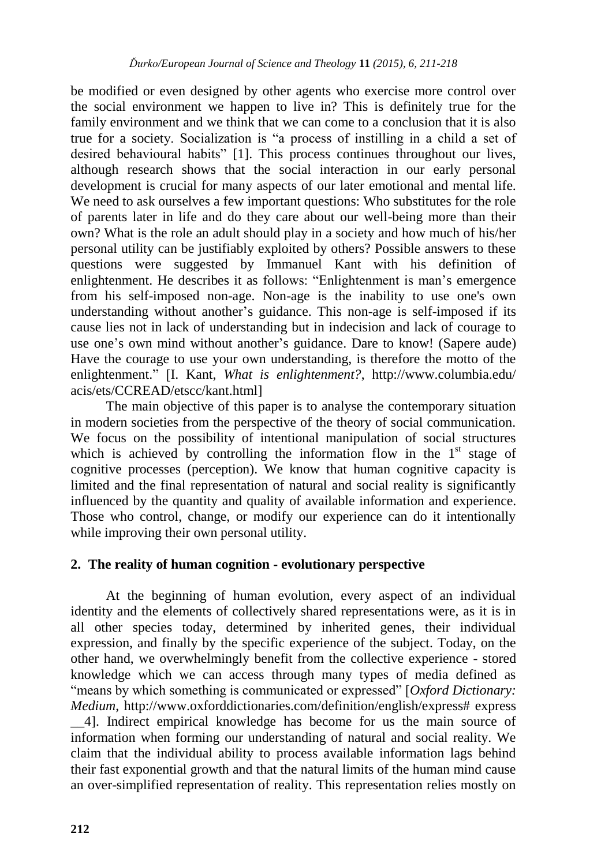be modified or even designed by other agents who exercise more control over the social environment we happen to live in? This is definitely true for the family environment and we think that we can come to a conclusion that it is also true for a society. Socialization is "a process of instilling in a child a set of desired behavioural habits" [1]. This process continues throughout our lives, although research shows that the social interaction in our early personal development is crucial for many aspects of our later emotional and mental life. We need to ask ourselves a few important questions: Who substitutes for the role of parents later in life and do they care about our well-being more than their own? What is the role an adult should play in a society and how much of his/her personal utility can be justifiably exploited by others? Possible answers to these questions were suggested by Immanuel Kant with his definition of enlightenment. He describes it as follows: "Enlightenment is man"s emergence from his self-imposed non-age. Non-age is the inability to use one's own understanding without another"s guidance. This non-age is self-imposed if its cause lies not in lack of understanding but in indecision and lack of courage to use one's own mind without another's guidance. Dare to know! (Sapere aude) Have the courage to use your own understanding, is therefore the motto of the enlightenment." [I. Kant, *What is enlightenment?*, http://www.columbia.edu/ acis/ets/CCREAD/etscc/kant.html]

The main objective of this paper is to analyse the contemporary situation in modern societies from the perspective of the theory of social communication. We focus on the possibility of intentional manipulation of social structures which is achieved by controlling the information flow in the  $1<sup>st</sup>$  stage of cognitive processes (perception). We know that human cognitive capacity is limited and the final representation of natural and social reality is significantly influenced by the quantity and quality of available information and experience. Those who control, change, or modify our experience can do it intentionally while improving their own personal utility.

### **2. The reality of human cognition - evolutionary perspective**

At the beginning of human evolution, every aspect of an individual identity and the elements of collectively shared representations were, as it is in all other species today, determined by inherited genes, their individual expression, and finally by the specific experience of the subject. Today, on the other hand, we overwhelmingly benefit from the collective experience - stored knowledge which we can access through many types of media defined as "means by which something is communicated or expressed" [*Oxford Dictionary: Medium*, http://www.oxforddictionaries.com/definition/english/express# express \_\_4]. Indirect empirical knowledge has become for us the main source of information when forming our understanding of natural and social reality. We claim that the individual ability to process available information lags behind their fast exponential growth and that the natural limits of the human mind cause an over-simplified representation of reality. This representation relies mostly on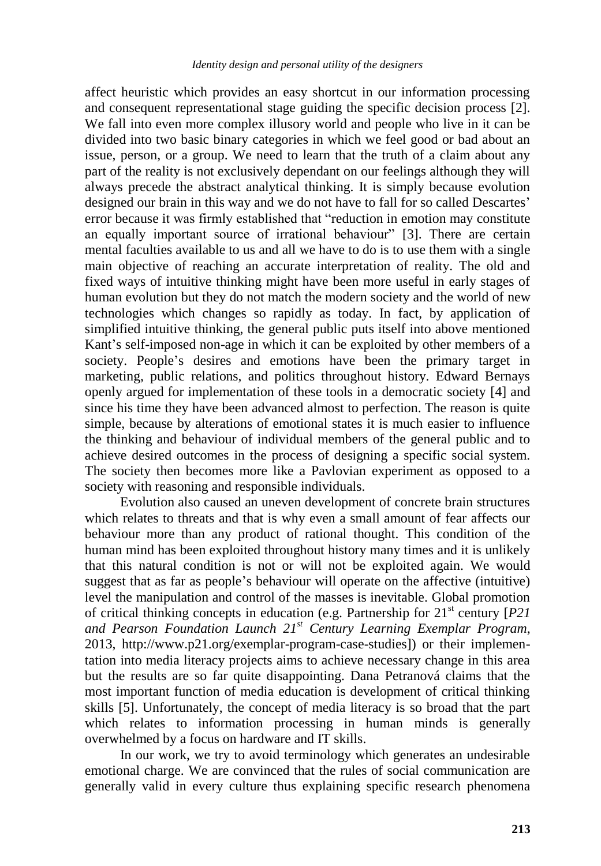affect heuristic which provides an easy shortcut in our information processing and consequent representational stage guiding the specific decision process [2]. We fall into even more complex illusory world and people who live in it can be divided into two basic binary categories in which we feel good or bad about an issue, person, or a group. We need to learn that the truth of a claim about any part of the reality is not exclusively dependant on our feelings although they will always precede the abstract analytical thinking. It is simply because evolution designed our brain in this way and we do not have to fall for so called Descartes' error because it was firmly established that "reduction in emotion may constitute an equally important source of irrational behaviour" [3]. There are certain mental faculties available to us and all we have to do is to use them with a single main objective of reaching an accurate interpretation of reality. The old and fixed ways of intuitive thinking might have been more useful in early stages of human evolution but they do not match the modern society and the world of new technologies which changes so rapidly as today. In fact, by application of simplified intuitive thinking, the general public puts itself into above mentioned Kant's self-imposed non-age in which it can be exploited by other members of a society. People's desires and emotions have been the primary target in marketing, public relations, and politics throughout history. Edward Bernays openly argued for implementation of these tools in a democratic society [4] and since his time they have been advanced almost to perfection. The reason is quite simple, because by alterations of emotional states it is much easier to influence the thinking and behaviour of individual members of the general public and to achieve desired outcomes in the process of designing a specific social system. The society then becomes more like a Pavlovian experiment as opposed to a society with reasoning and responsible individuals.

Evolution also caused an uneven development of concrete brain structures which relates to threats and that is why even a small amount of fear affects our behaviour more than any product of rational thought. This condition of the human mind has been exploited throughout history many times and it is unlikely that this natural condition is not or will not be exploited again. We would suggest that as far as people"s behaviour will operate on the affective (intuitive) level the manipulation and control of the masses is inevitable. Global promotion of critical thinking concepts in education (e.g. Partnership for  $21<sup>st</sup>$  century  $[P21]$ *and Pearson Foundation Launch 21st Century Learning Exemplar Program*, 2013, http://www.p21.org/exemplar-program-case-studies]) or their implementation into media literacy projects aims to achieve necessary change in this area but the results are so far quite disappointing. Dana Petranová claims that the most important function of media education is development of critical thinking skills [5]. Unfortunately, the concept of media literacy is so broad that the part which relates to information processing in human minds is generally overwhelmed by a focus on hardware and IT skills.

In our work, we try to avoid terminology which generates an undesirable emotional charge. We are convinced that the rules of social communication are generally valid in every culture thus explaining specific research phenomena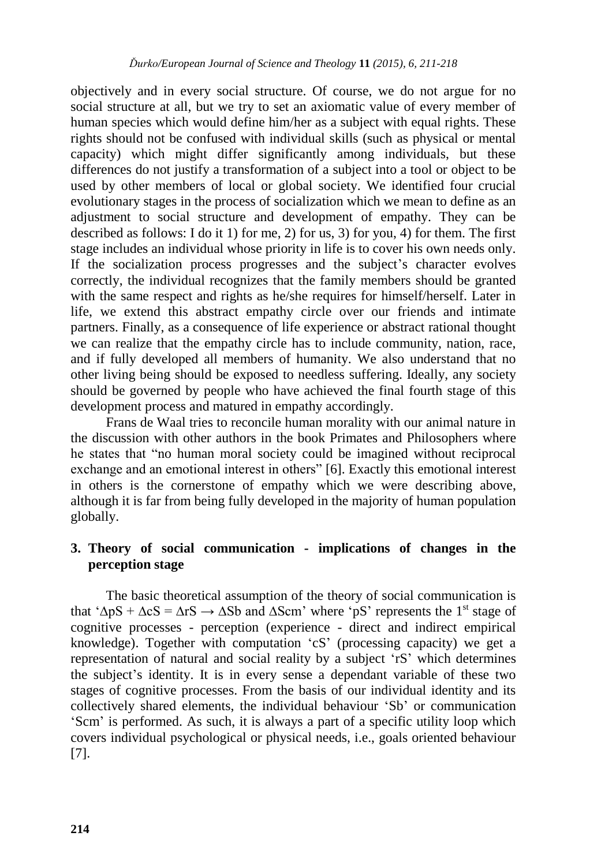objectively and in every social structure. Of course, we do not argue for no social structure at all, but we try to set an axiomatic value of every member of human species which would define him/her as a subject with equal rights. These rights should not be confused with individual skills (such as physical or mental capacity) which might differ significantly among individuals, but these differences do not justify a transformation of a subject into a tool or object to be used by other members of local or global society. We identified four crucial evolutionary stages in the process of socialization which we mean to define as an adjustment to social structure and development of empathy. They can be described as follows: I do it 1) for me, 2) for us, 3) for you, 4) for them. The first stage includes an individual whose priority in life is to cover his own needs only. If the socialization process progresses and the subject's character evolves correctly, the individual recognizes that the family members should be granted with the same respect and rights as he/she requires for himself/herself. Later in life, we extend this abstract empathy circle over our friends and intimate partners. Finally, as a consequence of life experience or abstract rational thought we can realize that the empathy circle has to include community, nation, race, and if fully developed all members of humanity. We also understand that no other living being should be exposed to needless suffering. Ideally, any society should be governed by people who have achieved the final fourth stage of this development process and matured in empathy accordingly.

Frans de Waal tries to reconcile human morality with our animal nature in the discussion with other authors in the book Primates and Philosophers where he states that "no human moral society could be imagined without reciprocal exchange and an emotional interest in others" [6]. Exactly this emotional interest in others is the cornerstone of empathy which we were describing above, although it is far from being fully developed in the majority of human population globally.

## **3. Theory of social communication - implications of changes in the perception stage**

The basic theoretical assumption of the theory of social communication is that ' $\Delta pS + \Delta cS = \Delta rS \rightarrow \Delta Sb$  and  $\Delta Scm$ ' where 'pS' represents the 1<sup>st</sup> stage of cognitive processes - perception (experience - direct and indirect empirical knowledge). Together with computation "cS" (processing capacity) we get a representation of natural and social reality by a subject "rS" which determines the subject"s identity. It is in every sense a dependant variable of these two stages of cognitive processes. From the basis of our individual identity and its collectively shared elements, the individual behaviour "Sb" or communication "Scm" is performed. As such, it is always a part of a specific utility loop which covers individual psychological or physical needs, i.e., goals oriented behaviour [7].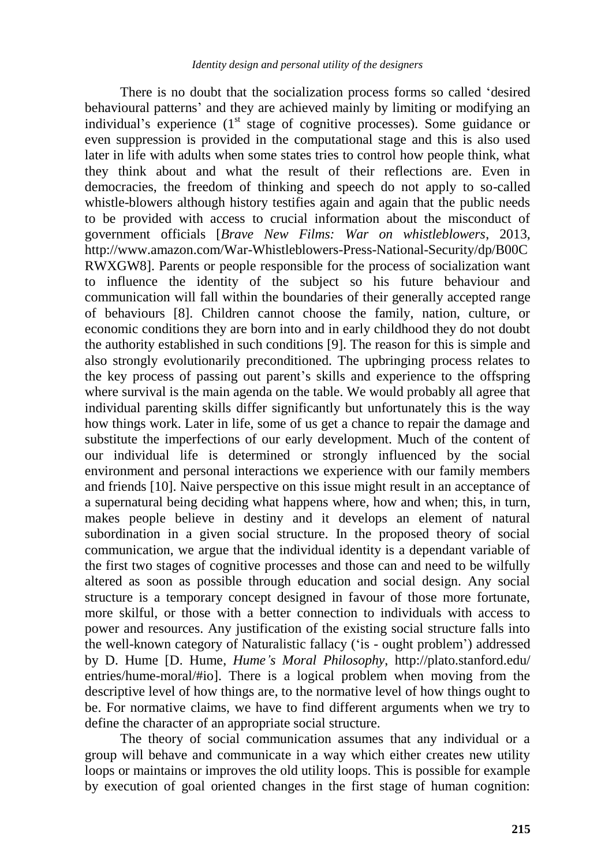There is no doubt that the socialization process forms so called "desired behavioural patterns" and they are achieved mainly by limiting or modifying an individual's experience  $(1<sup>st</sup>$  stage of cognitive processes). Some guidance or even suppression is provided in the computational stage and this is also used later in life with adults when some states tries to control how people think, what they think about and what the result of their reflections are. Even in democracies, the freedom of thinking and speech do not apply to so-called whistle-blowers although history testifies again and again that the public needs to be provided with access to crucial information about the misconduct of government officials [*Brave New Films: War on whistleblowers*, 2013, http://www.amazon.com/War-Whistleblowers-Press-National-Security/dp/B00C RWXGW8]. Parents or people responsible for the process of socialization want to influence the identity of the subject so his future behaviour and communication will fall within the boundaries of their generally accepted range of behaviours [8]. Children cannot choose the family, nation, culture, or economic conditions they are born into and in early childhood they do not doubt the authority established in such conditions [9]. The reason for this is simple and also strongly evolutionarily preconditioned. The upbringing process relates to the key process of passing out parent"s skills and experience to the offspring where survival is the main agenda on the table. We would probably all agree that individual parenting skills differ significantly but unfortunately this is the way how things work. Later in life, some of us get a chance to repair the damage and substitute the imperfections of our early development. Much of the content of our individual life is determined or strongly influenced by the social environment and personal interactions we experience with our family members and friends [10]. Naive perspective on this issue might result in an acceptance of a supernatural being deciding what happens where, how and when; this, in turn, makes people believe in destiny and it develops an element of natural subordination in a given social structure. In the proposed theory of social communication, we argue that the individual identity is a dependant variable of the first two stages of cognitive processes and those can and need to be wilfully altered as soon as possible through education and social design. Any social structure is a temporary concept designed in favour of those more fortunate, more skilful, or those with a better connection to individuals with access to power and resources. Any justification of the existing social structure falls into the well-known category of Naturalistic fallacy ("is - ought problem") addressed by D. Hume [D. Hume, *Hume's Moral Philosophy*, http://plato.stanford.edu/ entries/hume-moral/#io]. There is a logical problem when moving from the descriptive level of how things are, to the normative level of how things ought to be. For normative claims, we have to find different arguments when we try to define the character of an appropriate social structure.

The theory of social communication assumes that any individual or a group will behave and communicate in a way which either creates new utility loops or maintains or improves the old utility loops. This is possible for example by execution of goal oriented changes in the first stage of human cognition: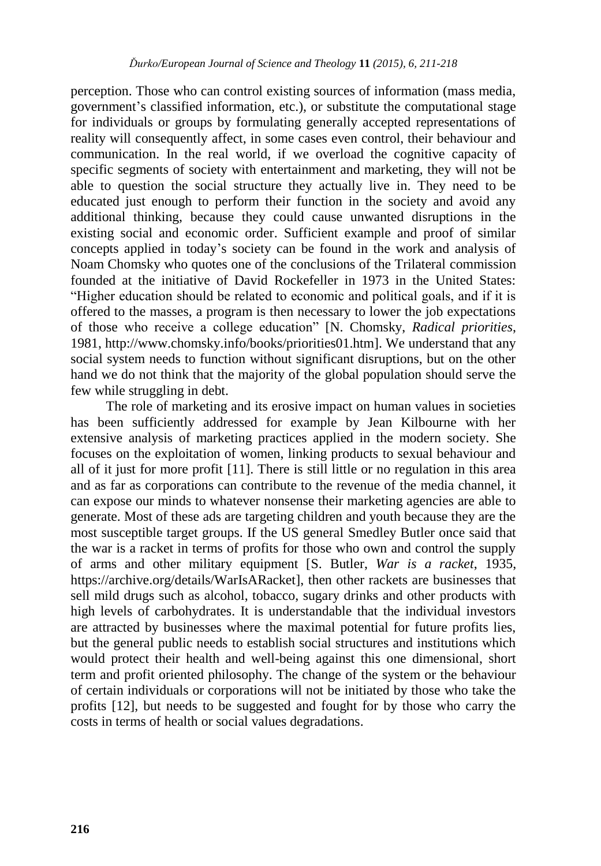perception. Those who can control existing sources of information (mass media, government"s classified information, etc.), or substitute the computational stage for individuals or groups by formulating generally accepted representations of reality will consequently affect, in some cases even control, their behaviour and communication. In the real world, if we overload the cognitive capacity of specific segments of society with entertainment and marketing, they will not be able to question the social structure they actually live in. They need to be educated just enough to perform their function in the society and avoid any additional thinking, because they could cause unwanted disruptions in the existing social and economic order. Sufficient example and proof of similar concepts applied in today"s society can be found in the work and analysis of Noam Chomsky who quotes one of the conclusions of the Trilateral commission founded at the initiative of David Rockefeller in 1973 in the United States: "Higher education should be related to economic and political goals, and if it is offered to the masses, a program is then necessary to lower the job expectations of those who receive a college education" [N. Chomsky, *Radical priorities*, 1981, http://www.chomsky.info/books/priorities01.htm]. We understand that any social system needs to function without significant disruptions, but on the other hand we do not think that the majority of the global population should serve the few while struggling in debt.

The role of marketing and its erosive impact on human values in societies has been sufficiently addressed for example by Jean Kilbourne with her extensive analysis of marketing practices applied in the modern society. She focuses on the exploitation of women, linking products to sexual behaviour and all of it just for more profit [11]. There is still little or no regulation in this area and as far as corporations can contribute to the revenue of the media channel, it can expose our minds to whatever nonsense their marketing agencies are able to generate. Most of these ads are targeting children and youth because they are the most susceptible target groups. If the US general Smedley Butler once said that the war is a racket in terms of profits for those who own and control the supply of arms and other military equipment [S. Butler, *War is a racket*, 1935, [https://archive.org/details/WarIsARacket\]](https://archive.org/details/WarIsARacket), then other rackets are businesses that sell mild drugs such as alcohol, tobacco, sugary drinks and other products with high levels of carbohydrates. It is understandable that the individual investors are attracted by businesses where the maximal potential for future profits lies, but the general public needs to establish social structures and institutions which would protect their health and well-being against this one dimensional, short term and profit oriented philosophy. The change of the system or the behaviour of certain individuals or corporations will not be initiated by those who take the profits [12], but needs to be suggested and fought for by those who carry the costs in terms of health or social values degradations.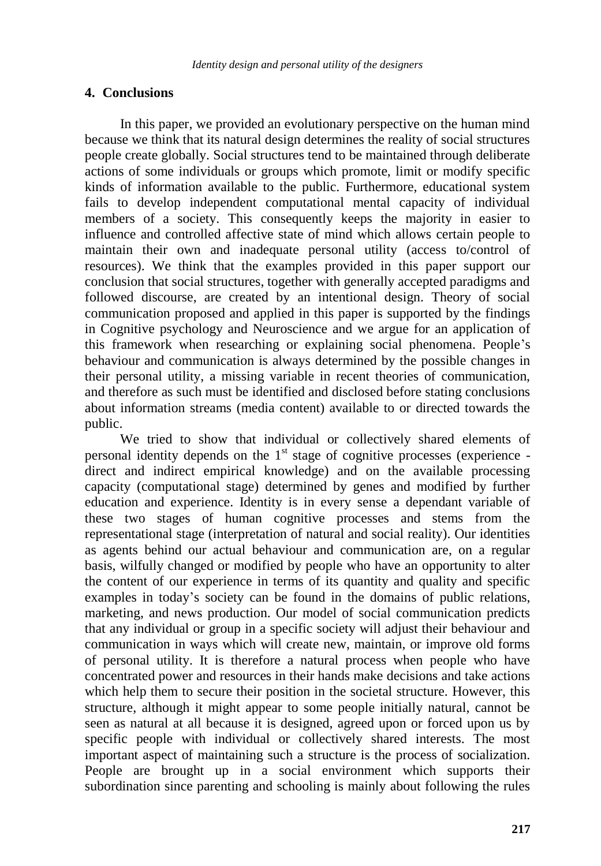#### **4. Conclusions**

In this paper, we provided an evolutionary perspective on the human mind because we think that its natural design determines the reality of social structures people create globally. Social structures tend to be maintained through deliberate actions of some individuals or groups which promote, limit or modify specific kinds of information available to the public. Furthermore, educational system fails to develop independent computational mental capacity of individual members of a society. This consequently keeps the majority in easier to influence and controlled affective state of mind which allows certain people to maintain their own and inadequate personal utility (access to/control of resources). We think that the examples provided in this paper support our conclusion that social structures, together with generally accepted paradigms and followed discourse, are created by an intentional design. Theory of social communication proposed and applied in this paper is supported by the findings in Cognitive psychology and Neuroscience and we argue for an application of this framework when researching or explaining social phenomena. People"s behaviour and communication is always determined by the possible changes in their personal utility, a missing variable in recent theories of communication, and therefore as such must be identified and disclosed before stating conclusions about information streams (media content) available to or directed towards the public.

We tried to show that individual or collectively shared elements of personal identity depends on the  $1<sup>st</sup>$  stage of cognitive processes (experience direct and indirect empirical knowledge) and on the available processing capacity (computational stage) determined by genes and modified by further education and experience. Identity is in every sense a dependant variable of these two stages of human cognitive processes and stems from the representational stage (interpretation of natural and social reality). Our identities as agents behind our actual behaviour and communication are, on a regular basis, wilfully changed or modified by people who have an opportunity to alter the content of our experience in terms of its quantity and quality and specific examples in today"s society can be found in the domains of public relations, marketing, and news production. Our model of social communication predicts that any individual or group in a specific society will adjust their behaviour and communication in ways which will create new, maintain, or improve old forms of personal utility. It is therefore a natural process when people who have concentrated power and resources in their hands make decisions and take actions which help them to secure their position in the societal structure. However, this structure, although it might appear to some people initially natural, cannot be seen as natural at all because it is designed, agreed upon or forced upon us by specific people with individual or collectively shared interests. The most important aspect of maintaining such a structure is the process of socialization. People are brought up in a social environment which supports their subordination since parenting and schooling is mainly about following the rules